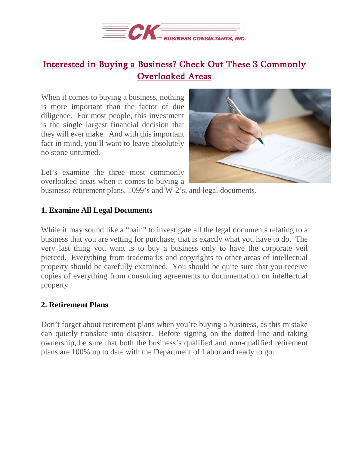

## [Interested in Buying a Business? Check Out These 3 Commonly](https://deal-studio.com/interested-in-buying-a-business-check-out-these-3-commonly-overlooked-areas/)  [Overlooked Areas](https://deal-studio.com/interested-in-buying-a-business-check-out-these-3-commonly-overlooked-areas/)

When it comes to buying a business, nothing is more important than the factor of due diligence. For most people, this investment is the single largest financial decision that they will ever make. And with this important fact in mind, you'll want to leave absolutely no stone unturned.



Let's examine the three most commonly overlooked areas when it comes to buying a

business: retirement plans, 1099's and W-2's, and legal documents.

## **1. Examine All Legal Documents**

While it may sound like a "pain" to investigate all the legal documents relating to a business that you are vetting for purchase, that is exactly what you have to do. The very last thing you want is to buy a business only to have the corporate veil pierced. Everything from trademarks and copyrights to other areas of intellectual property should be carefully examined. You should be quite sure that you receive copies of everything from consulting agreements to documentation on intellectual property.

## **2. Retirement Plans**

Don't forget about retirement plans when you're buying a business, as this mistake can quietly translate into disaster. Before signing on the dotted line and taking ownership, be sure that both the business's qualified and non-qualified retirement plans are 100% up to date with the Department of Labor and ready to go.